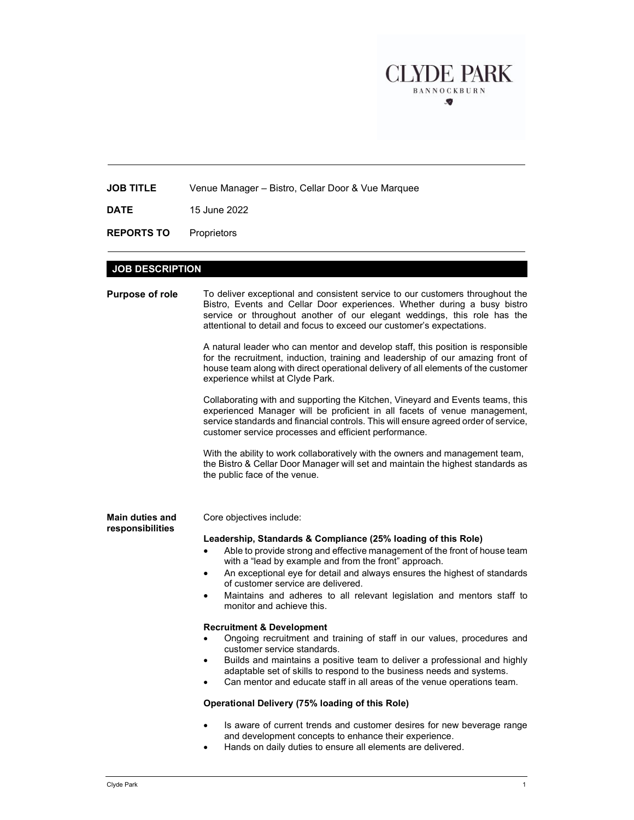

JOB TITLE Venue Manager – Bistro, Cellar Door & Vue Marquee

**DATE** 15 June 2022

REPORTS TO Proprietors

## JOB DESCRIPTION

| <b>Purpose of role</b>                     | To deliver exceptional and consistent service to our customers throughout the<br>Bistro, Events and Cellar Door experiences. Whether during a busy bistro<br>service or throughout another of our elegant weddings, this role has the<br>attentional to detail and focus to exceed our customer's expectations.<br>A natural leader who can mentor and develop staff, this position is responsible<br>for the recruitment, induction, training and leadership of our amazing front of<br>house team along with direct operational delivery of all elements of the customer<br>experience whilst at Clyde Park.<br>Collaborating with and supporting the Kitchen, Vineyard and Events teams, this<br>experienced Manager will be proficient in all facets of venue management,<br>service standards and financial controls. This will ensure agreed order of service,<br>customer service processes and efficient performance.<br>With the ability to work collaboratively with the owners and management team,<br>the Bistro & Cellar Door Manager will set and maintain the highest standards as<br>the public face of the venue.        |
|--------------------------------------------|-------------------------------------------------------------------------------------------------------------------------------------------------------------------------------------------------------------------------------------------------------------------------------------------------------------------------------------------------------------------------------------------------------------------------------------------------------------------------------------------------------------------------------------------------------------------------------------------------------------------------------------------------------------------------------------------------------------------------------------------------------------------------------------------------------------------------------------------------------------------------------------------------------------------------------------------------------------------------------------------------------------------------------------------------------------------------------------------------------------------------------------------|
| <b>Main duties and</b><br>responsibilities | Core objectives include:<br>Leadership, Standards & Compliance (25% loading of this Role)<br>Able to provide strong and effective management of the front of house team<br>with a "lead by example and from the front" approach.<br>An exceptional eye for detail and always ensures the highest of standards<br>$\bullet$<br>of customer service are delivered.<br>Maintains and adheres to all relevant legislation and mentors staff to<br>monitor and achieve this.<br><b>Recruitment &amp; Development</b><br>Ongoing recruitment and training of staff in our values, procedures and<br>customer service standards.<br>Builds and maintains a positive team to deliver a professional and highly<br>$\bullet$<br>adaptable set of skills to respond to the business needs and systems.<br>Can mentor and educate staff in all areas of the venue operations team.<br>Operational Delivery (75% loading of this Role)<br>Is aware of current trends and customer desires for new beverage range<br>$\bullet$<br>and development concepts to enhance their experience.<br>Hands on daily duties to ensure all elements are delivered. |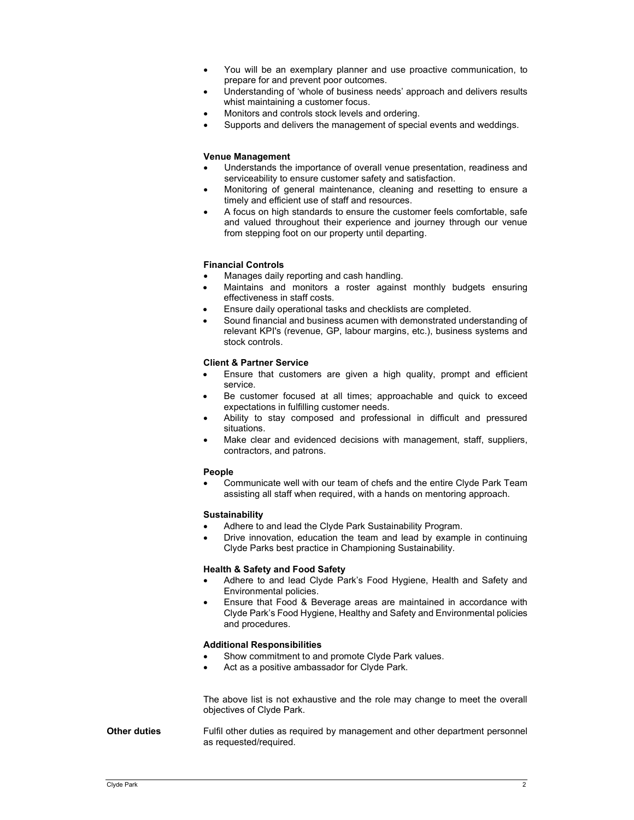- You will be an exemplary planner and use proactive communication, to prepare for and prevent poor outcomes.
- Understanding of 'whole of business needs' approach and delivers results whist maintaining a customer focus.
- Monitors and controls stock levels and ordering.
- Supports and delivers the management of special events and weddings.

## Venue Management

- Understands the importance of overall venue presentation, readiness and serviceability to ensure customer safety and satisfaction.
- Monitoring of general maintenance, cleaning and resetting to ensure a timely and efficient use of staff and resources.
- A focus on high standards to ensure the customer feels comfortable, safe and valued throughout their experience and journey through our venue from stepping foot on our property until departing.

## Financial Controls

- Manages daily reporting and cash handling.
- Maintains and monitors a roster against monthly budgets ensuring effectiveness in staff costs.
- Ensure daily operational tasks and checklists are completed.
- Sound financial and business acumen with demonstrated understanding of relevant KPI's (revenue, GP, labour margins, etc.), business systems and stock controls.

#### Client & Partner Service

- Ensure that customers are given a high quality, prompt and efficient service.
- Be customer focused at all times; approachable and quick to exceed expectations in fulfilling customer needs.
- Ability to stay composed and professional in difficult and pressured situations.
- Make clear and evidenced decisions with management, staff, suppliers, contractors, and patrons.

#### People

 Communicate well with our team of chefs and the entire Clyde Park Team assisting all staff when required, with a hands on mentoring approach.

#### **Sustainability**

- Adhere to and lead the Clyde Park Sustainability Program.
- Drive innovation, education the team and lead by example in continuing Clyde Parks best practice in Championing Sustainability.

## Health & Safety and Food Safety

- Adhere to and lead Clyde Park's Food Hygiene, Health and Safety and Environmental policies.
- Ensure that Food & Beverage areas are maintained in accordance with Clyde Park's Food Hygiene, Healthy and Safety and Environmental policies and procedures.

#### Additional Responsibilities

- Show commitment to and promote Clyde Park values.
- Act as a positive ambassador for Clyde Park.

The above list is not exhaustive and the role may change to meet the overall objectives of Clyde Park.

Other duties Fulfil other duties as required by management and other department personnel as requested/required.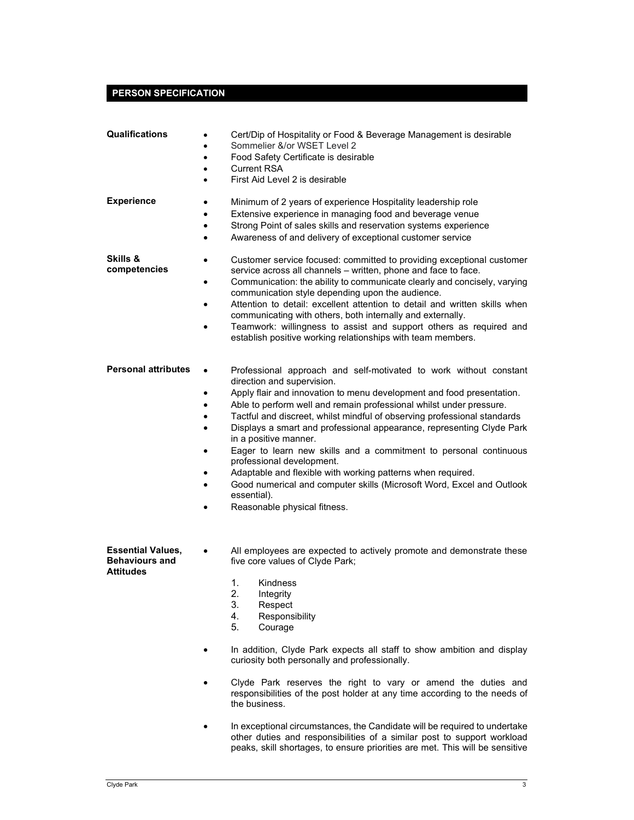# PERSON SPECIFICATION

| Qualifications                                                        | Cert/Dip of Hospitality or Food & Beverage Management is desirable<br>$\bullet$<br>Sommelier &/or WSET Level 2<br>٠<br>Food Safety Certificate is desirable<br>$\bullet$<br><b>Current RSA</b><br>٠<br>First Aid Level 2 is desirable<br>$\bullet$                                                                                                                                                                                                                                                                                                                                                                                                                                                                                                                                                |
|-----------------------------------------------------------------------|---------------------------------------------------------------------------------------------------------------------------------------------------------------------------------------------------------------------------------------------------------------------------------------------------------------------------------------------------------------------------------------------------------------------------------------------------------------------------------------------------------------------------------------------------------------------------------------------------------------------------------------------------------------------------------------------------------------------------------------------------------------------------------------------------|
| <b>Experience</b>                                                     | Minimum of 2 years of experience Hospitality leadership role<br>٠<br>Extensive experience in managing food and beverage venue<br>$\bullet$<br>Strong Point of sales skills and reservation systems experience<br>$\bullet$<br>Awareness of and delivery of exceptional customer service<br>$\bullet$                                                                                                                                                                                                                                                                                                                                                                                                                                                                                              |
| <b>Skills &amp;</b><br>competencies                                   | Customer service focused: committed to providing exceptional customer<br>$\bullet$<br>service across all channels - written, phone and face to face.<br>Communication: the ability to communicate clearly and concisely, varying<br>$\bullet$<br>communication style depending upon the audience.<br>Attention to detail: excellent attention to detail and written skills when<br>$\bullet$<br>communicating with others, both internally and externally.<br>Teamwork: willingness to assist and support others as required and<br>establish positive working relationships with team members.                                                                                                                                                                                                   |
| <b>Personal attributes</b>                                            | Professional approach and self-motivated to work without constant<br>direction and supervision.<br>Apply flair and innovation to menu development and food presentation.<br>$\bullet$<br>Able to perform well and remain professional whilst under pressure.<br>$\bullet$<br>Tactful and discreet, whilst mindful of observing professional standards<br>$\bullet$<br>Displays a smart and professional appearance, representing Clyde Park<br>$\bullet$<br>in a positive manner.<br>Eager to learn new skills and a commitment to personal continuous<br>٠<br>professional development.<br>Adaptable and flexible with working patterns when required.<br>٠<br>Good numerical and computer skills (Microsoft Word, Excel and Outlook<br>$\bullet$<br>essential).<br>Reasonable physical fitness. |
| <b>Essential Values,</b><br><b>Behaviours and</b><br><b>Attitudes</b> | All employees are expected to actively promote and demonstrate these<br>five core values of Clyde Park;<br>1.<br>Kindness<br>2.<br>Integrity<br>3.<br>Respect<br>4.<br>Responsibility<br>5.<br>Courage<br>In addition, Clyde Park expects all staff to show ambition and display<br>curiosity both personally and professionally.<br>Clyde Park reserves the right to vary or amend the duties and<br>responsibilities of the post holder at any time according to the needs of<br>the business.<br>In exceptional circumstances, the Candidate will be required to undertake<br>other duties and responsibilities of a similar post to support workload<br>peaks, skill shortages, to ensure priorities are met. This will be sensitive                                                          |